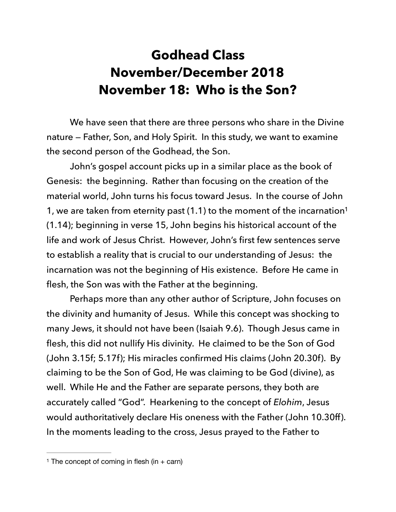## <span id="page-0-1"></span>**Godhead Class November/December 2018 November 18: Who is the Son?**

 We have seen that there are three persons who share in the Divine nature — Father, Son, and Holy Spirit. In this study, we want to examine the second person of the Godhead, the Son.

 John's gospel account picks up in a similar place as the book of Genesis: the beginning. Rather than focusing on the creation of the material world, John turns his focus toward Jesus. In the course of John 1, we are taken from eternity past  $(1.1)$  to the moment of the incarnation<sup>1</sup> (1.14); beginning in verse 15, John begins his historical account of the life and work of Jesus Christ. However, John's first few sentences serve to establish a reality that is crucial to our understanding of Jesus: the incarnation was not the beginning of His existence. Before He came in flesh, the Son was with the Father at the beginning.

 Perhaps more than any other author of Scripture, John focuses on the divinity and humanity of Jesus. While this concept was shocking to many Jews, it should not have been (Isaiah 9.6). Though Jesus came in flesh, this did not nullify His divinity. He claimed to be the Son of God (John 3.15f; 5.17f); His miracles confirmed His claims (John 20.30f). By claiming to be the Son of God, He was claiming to be God (divine), as well. While He and the Father are separate persons, they both are accurately called "God". Hearkening to the concept of *Elohim*, Jesus would authoritatively declare His oneness with the Father (John 10.30ff). In the moments leading to the cross, Jesus prayed to the Father to

<span id="page-0-0"></span><sup>&</sup>lt;sup>[1](#page-0-1)</sup> The concept of coming in flesh (in  $+$  carn)